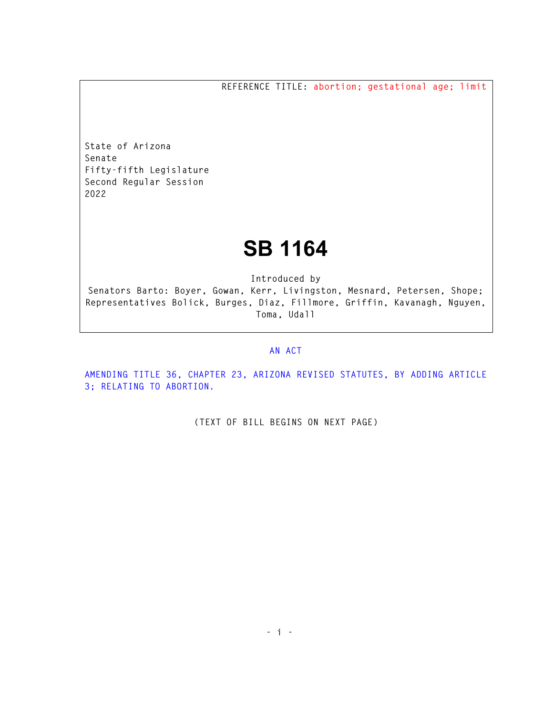**REFERENCE TITLE: abortion; gestational age; limit** 

**State of Arizona Senate Fifty-fifth Legislature Second Regular Session 2022** 

## **SB 1164**

**Introduced by** 

**Senators Barto: Boyer, Gowan, Kerr, Livingston, Mesnard, Petersen, Shope; Representatives Bolick, Burges, Diaz, Fillmore, Griffin, Kavanagh, Nguyen, Toma, Udall** 

## **AN ACT**

**AMENDING TITLE 36, CHAPTER 23, ARIZONA REVISED STATUTES, BY ADDING ARTICLE 3; RELATING TO ABORTION.** 

**(TEXT OF BILL BEGINS ON NEXT PAGE)**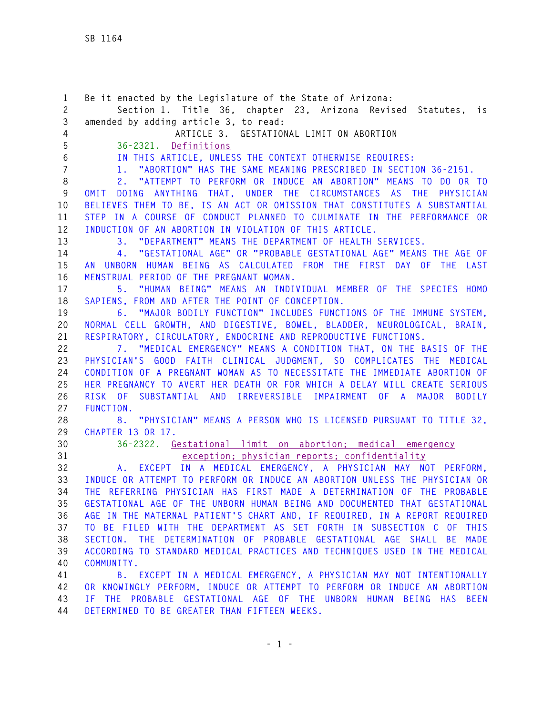**1 Be it enacted by the Legislature of the State of Arizona: 2 Section 1. Title 36, chapter 23, Arizona Revised Statutes, is 3 amended by adding article 3, to read: 4 ARTICLE 3. GESTATIONAL LIMIT ON ABORTION 5 36-2321. Definitions 6 IN THIS ARTICLE, UNLESS THE CONTEXT OTHERWISE REQUIRES: 7 1. "ABORTION" HAS THE SAME MEANING PRESCRIBED IN SECTION 36-2151. 8 2. "ATTEMPT TO PERFORM OR INDUCE AN ABORTION" MEANS TO DO OR TO 9 OMIT DOING ANYTHING THAT, UNDER THE CIRCUMSTANCES AS THE PHYSICIAN 10 BELIEVES THEM TO BE, IS AN ACT OR OMISSION THAT CONSTITUTES A SUBSTANTIAL 11 STEP IN A COURSE OF CONDUCT PLANNED TO CULMINATE IN THE PERFORMANCE OR 12 INDUCTION OF AN ABORTION IN VIOLATION OF THIS ARTICLE. 13 3. "DEPARTMENT" MEANS THE DEPARTMENT OF HEALTH SERVICES. 14 4. "GESTATIONAL AGE" OR "PROBABLE GESTATIONAL AGE" MEANS THE AGE OF 15 AN UNBORN HUMAN BEING AS CALCULATED FROM THE FIRST DAY OF THE LAST 16 MENSTRUAL PERIOD OF THE PREGNANT WOMAN. 17 5. "HUMAN BEING" MEANS AN INDIVIDUAL MEMBER OF THE SPECIES HOMO 18 SAPIENS, FROM AND AFTER THE POINT OF CONCEPTION. 19 6. "MAJOR BODILY FUNCTION" INCLUDES FUNCTIONS OF THE IMMUNE SYSTEM, 20 NORMAL CELL GROWTH, AND DIGESTIVE, BOWEL, BLADDER, NEUROLOGICAL, BRAIN, 21 RESPIRATORY, CIRCULATORY, ENDOCRINE AND REPRODUCTIVE FUNCTIONS. 22 7. "MEDICAL EMERGENCY" MEANS A CONDITION THAT, ON THE BASIS OF THE 23 PHYSICIAN'S GOOD FAITH CLINICAL JUDGMENT, SO COMPLICATES THE MEDICAL 24 CONDITION OF A PREGNANT WOMAN AS TO NECESSITATE THE IMMEDIATE ABORTION OF 25 HER PREGNANCY TO AVERT HER DEATH OR FOR WHICH A DELAY WILL CREATE SERIOUS 26 RISK OF SUBSTANTIAL AND IRREVERSIBLE IMPAIRMENT OF A MAJOR BODILY 27 FUNCTION. 28 8. "PHYSICIAN" MEANS A PERSON WHO IS LICENSED PURSUANT TO TITLE 32, 29 CHAPTER 13 OR 17. 30 36-2322. Gestational limit on abortion; medical emergency 31 exception; physician reports; confidentiality 32 A. EXCEPT IN A MEDICAL EMERGENCY, A PHYSICIAN MAY NOT PERFORM, 33 INDUCE OR ATTEMPT TO PERFORM OR INDUCE AN ABORTION UNLESS THE PHYSICIAN OR 34 THE REFERRING PHYSICIAN HAS FIRST MADE A DETERMINATION OF THE PROBABLE 35 GESTATIONAL AGE OF THE UNBORN HUMAN BEING AND DOCUMENTED THAT GESTATIONAL 36 AGE IN THE MATERNAL PATIENT'S CHART AND, IF REQUIRED, IN A REPORT REQUIRED 37 TO BE FILED WITH THE DEPARTMENT AS SET FORTH IN SUBSECTION C OF THIS 38 SECTION. THE DETERMINATION OF PROBABLE GESTATIONAL AGE SHALL BE MADE 39 ACCORDING TO STANDARD MEDICAL PRACTICES AND TECHNIQUES USED IN THE MEDICAL 40 COMMUNITY. 41 B. EXCEPT IN A MEDICAL EMERGENCY, A PHYSICIAN MAY NOT INTENTIONALLY 42 OR KNOWINGLY PERFORM, INDUCE OR ATTEMPT TO PERFORM OR INDUCE AN ABORTION 43 IF THE PROBABLE GESTATIONAL AGE OF THE UNBORN HUMAN BEING HAS BEEN 44 DETERMINED TO BE GREATER THAN FIFTEEN WEEKS.**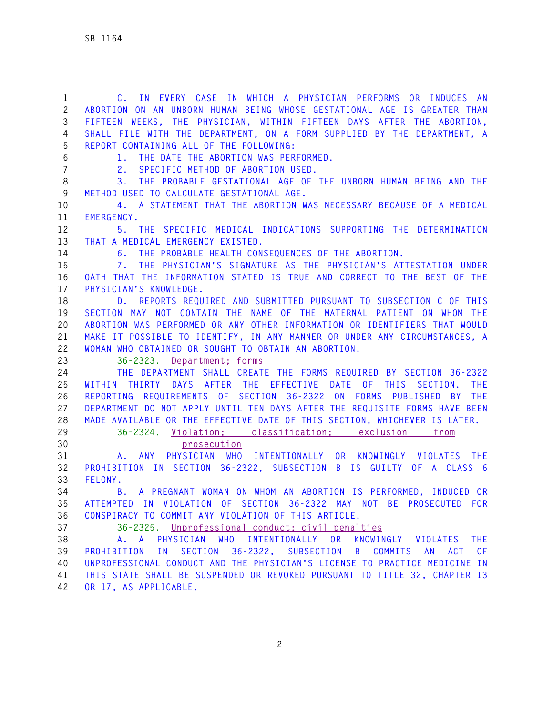**1 C. IN EVERY CASE IN WHICH A PHYSICIAN PERFORMS OR INDUCES AN 2 ABORTION ON AN UNBORN HUMAN BEING WHOSE GESTATIONAL AGE IS GREATER THAN 3 FIFTEEN WEEKS, THE PHYSICIAN, WITHIN FIFTEEN DAYS AFTER THE ABORTION, 4 SHALL FILE WITH THE DEPARTMENT, ON A FORM SUPPLIED BY THE DEPARTMENT, A 5 REPORT CONTAINING ALL OF THE FOLLOWING: 6 1. THE DATE THE ABORTION WAS PERFORMED. 7 2. SPECIFIC METHOD OF ABORTION USED. 8 3. THE PROBABLE GESTATIONAL AGE OF THE UNBORN HUMAN BEING AND THE 9 METHOD USED TO CALCULATE GESTATIONAL AGE. 10 4. A STATEMENT THAT THE ABORTION WAS NECESSARY BECAUSE OF A MEDICAL 11 EMERGENCY. 12 5. THE SPECIFIC MEDICAL INDICATIONS SUPPORTING THE DETERMINATION 13 THAT A MEDICAL EMERGENCY EXISTED. 14 6. THE PROBABLE HEALTH CONSEQUENCES OF THE ABORTION. 15 7. THE PHYSICIAN'S SIGNATURE AS THE PHYSICIAN'S ATTESTATION UNDER 16 OATH THAT THE INFORMATION STATED IS TRUE AND CORRECT TO THE BEST OF THE 17 PHYSICIAN'S KNOWLEDGE. 18 D. REPORTS REQUIRED AND SUBMITTED PURSUANT TO SUBSECTION C OF THIS 19 SECTION MAY NOT CONTAIN THE NAME OF THE MATERNAL PATIENT ON WHOM THE 20 ABORTION WAS PERFORMED OR ANY OTHER INFORMATION OR IDENTIFIERS THAT WOULD 21 MAKE IT POSSIBLE TO IDENTIFY, IN ANY MANNER OR UNDER ANY CIRCUMSTANCES, A 22 WOMAN WHO OBTAINED OR SOUGHT TO OBTAIN AN ABORTION. 23 36-2323. Department; forms 24 THE DEPARTMENT SHALL CREATE THE FORMS REQUIRED BY SECTION 36-2322 25 WITHIN THIRTY DAYS AFTER THE EFFECTIVE DATE OF THIS SECTION. THE 26 REPORTING REQUIREMENTS OF SECTION 36-2322 ON FORMS PUBLISHED BY THE 27 DEPARTMENT DO NOT APPLY UNTIL TEN DAYS AFTER THE REQUISITE FORMS HAVE BEEN 28 MADE AVAILABLE OR THE EFFECTIVE DATE OF THIS SECTION, WHICHEVER IS LATER. 29 36-2324. Violation; classification; exclusion from 30 prosecution 31 A. ANY PHYSICIAN WHO INTENTIONALLY OR KNOWINGLY VIOLATES THE 32 PROHIBITION IN SECTION 36-2322, SUBSECTION B IS GUILTY OF A CLASS 6 33 FELONY. 34 B. A PREGNANT WOMAN ON WHOM AN ABORTION IS PERFORMED, INDUCED OR 35 ATTEMPTED IN VIOLATION OF SECTION 36-2322 MAY NOT BE PROSECUTED FOR 36 CONSPIRACY TO COMMIT ANY VIOLATION OF THIS ARTICLE. 37 36-2325. Unprofessional conduct; civil penalties 38 A. A PHYSICIAN WHO INTENTIONALLY OR KNOWINGLY VIOLATES THE 39 PROHIBITION IN SECTION 36-2322, SUBSECTION B COMMITS AN ACT OF 40 UNPROFESSIONAL CONDUCT AND THE PHYSICIAN'S LICENSE TO PRACTICE MEDICINE IN 41 THIS STATE SHALL BE SUSPENDED OR REVOKED PURSUANT TO TITLE 32, CHAPTER 13 42 OR 17, AS APPLICABLE.**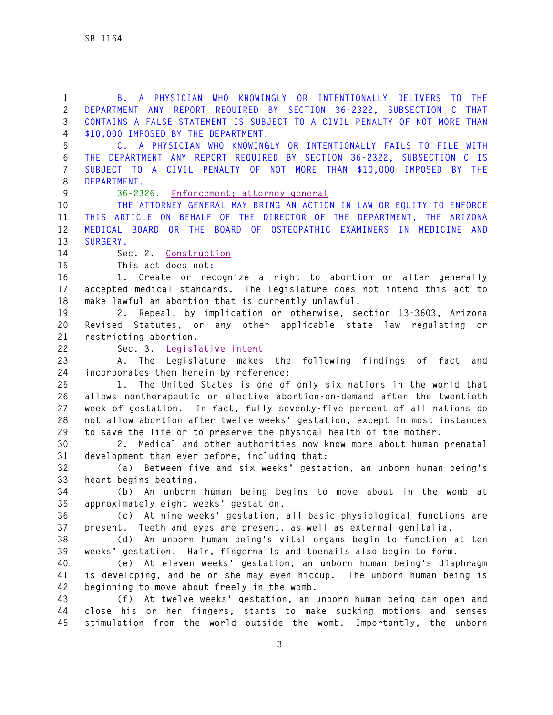**1 B. A PHYSICIAN WHO KNOWINGLY OR INTENTIONALLY DELIVERS TO THE 2 DEPARTMENT ANY REPORT REQUIRED BY SECTION 36-2322, SUBSECTION C THAT 3 CONTAINS A FALSE STATEMENT IS SUBJECT TO A CIVIL PENALTY OF NOT MORE THAN 4 \$10,000 IMPOSED BY THE DEPARTMENT.** 

**5 C. A PHYSICIAN WHO KNOWINGLY OR INTENTIONALLY FAILS TO FILE WITH 6 THE DEPARTMENT ANY REPORT REQUIRED BY SECTION 36-2322, SUBSECTION C IS 7 SUBJECT TO A CIVIL PENALTY OF NOT MORE THAN \$10,000 IMPOSED BY THE 8 DEPARTMENT.** 

**9 36-2326. Enforcement; attorney general** 

**10 THE ATTORNEY GENERAL MAY BRING AN ACTION IN LAW OR EQUITY TO ENFORCE 11 THIS ARTICLE ON BEHALF OF THE DIRECTOR OF THE DEPARTMENT, THE ARIZONA 12 MEDICAL BOARD OR THE BOARD OF OSTEOPATHIC EXAMINERS IN MEDICINE AND 13 SURGERY.** 

**14 Sec. 2. Construction**

**15 This act does not:**

**16 1. Create or recognize a right to abortion or alter generally 17 accepted medical standards. The Legislature does not intend this act to 18 make lawful an abortion that is currently unlawful.** 

**19 2. Repeal, by implication or otherwise, section 13-3603, Arizona 20 Revised Statutes, or any other applicable state law regulating or 21 restricting abortion.** 

**22 Sec. 3. Legislative intent**

**23 A. The Legislature makes the following findings of fact and 24 incorporates them herein by reference:** 

**25 1. The United States is one of only six nations in the world that 26 allows nontherapeutic or elective abortion-on-demand after the twentieth 27 week of gestation. In fact, fully seventy-five percent of all nations do 28 not allow abortion after twelve weeks' gestation, except in most instances 29 to save the life or to preserve the physical health of the mother.** 

**30 2. Medical and other authorities now know more about human prenatal 31 development than ever before, including that:** 

**32 (a) Between five and six weeks' gestation, an unborn human being's 33 heart begins beating.** 

**34 (b) An unborn human being begins to move about in the womb at 35 approximately eight weeks' gestation.** 

**36 (c) At nine weeks' gestation, all basic physiological functions are 37 present. Teeth and eyes are present, as well as external genitalia.** 

**38 (d) An unborn human being's vital organs begin to function at ten 39 weeks' gestation. Hair, fingernails and toenails also begin to form.** 

**40 (e) At eleven weeks' gestation, an unborn human being's diaphragm 41 is developing, and he or she may even hiccup. The unborn human being is 42 beginning to move about freely in the womb.** 

**43 (f) At twelve weeks' gestation, an unborn human being can open and 44 close his or her fingers, starts to make sucking motions and senses 45 stimulation from the world outside the womb. Importantly, the unborn**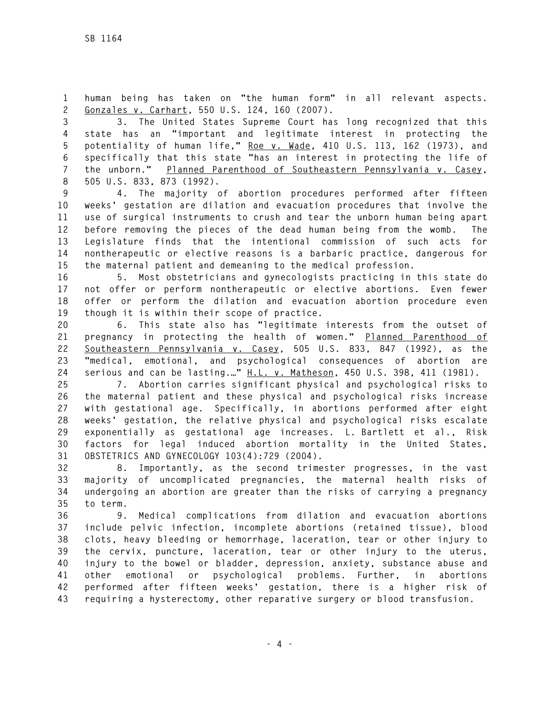**1 human being has taken on "the human form" in all relevant aspects. 2 Gonzales v. Carhart, 550 U.S. 124, 160 (2007).** 

**3 3. The United States Supreme Court has long recognized that this 4 state has an "important and legitimate interest in protecting the 5 potentiality of human life," Roe v. Wade, 410 U.S. 113, 162 (1973), and 6 specifically that this state "has an interest in protecting the life of 7 the unborn." Planned Parenthood of Southeastern Pennsylvania v. Casey, 8 505 U.S. 833, 873 (1992).** 

**9 4. The majority of abortion procedures performed after fifteen 10 weeks' gestation are dilation and evacuation procedures that involve the 11 use of surgical instruments to crush and tear the unborn human being apart 12 before removing the pieces of the dead human being from the womb. The 13 Legislature finds that the intentional commission of such acts for 14 nontherapeutic or elective reasons is a barbaric practice, dangerous for 15 the maternal patient and demeaning to the medical profession.** 

**16 5. Most obstetricians and gynecologists practicing in this state do 17 not offer or perform nontherapeutic or elective abortions. Even fewer 18 offer or perform the dilation and evacuation abortion procedure even 19 though it is within their scope of practice.** 

**20 6. This state also has "legitimate interests from the outset of 21 pregnancy in protecting the health of women." Planned Parenthood of 22 Southeastern Pennsylvania v. Casey, 505 U.S. 833, 847 (1992), as the 23 "medical, emotional, and psychological consequences of abortion are 24 serious and can be lasting.…" H.L. v. Matheson, 450 U.S. 398, 411 (1981).** 

**25 7. Abortion carries significant physical and psychological risks to 26 the maternal patient and these physical and psychological risks increase 27 with gestational age. Specifically, in abortions performed after eight 28 weeks' gestation, the relative physical and psychological risks escalate 29 exponentially as gestational age increases. L. Bartlett et al., Risk 30 factors for legal induced abortion mortality in the United States, 31 OBSTETRICS AND GYNECOLOGY 103(4):729 (2004).** 

**32 8. Importantly, as the second trimester progresses, in the vast 33 majority of uncomplicated pregnancies, the maternal health risks of 34 undergoing an abortion are greater than the risks of carrying a pregnancy 35 to term.** 

**36 9. Medical complications from dilation and evacuation abortions 37 include pelvic infection, incomplete abortions (retained tissue), blood 38 clots, heavy bleeding or hemorrhage, laceration, tear or other injury to 39 the cervix, puncture, laceration, tear or other injury to the uterus, 40 injury to the bowel or bladder, depression, anxiety, substance abuse and 41 other emotional or psychological problems. Further, in abortions 42 performed after fifteen weeks' gestation, there is a higher risk of 43 requiring a hysterectomy, other reparative surgery or blood transfusion.**